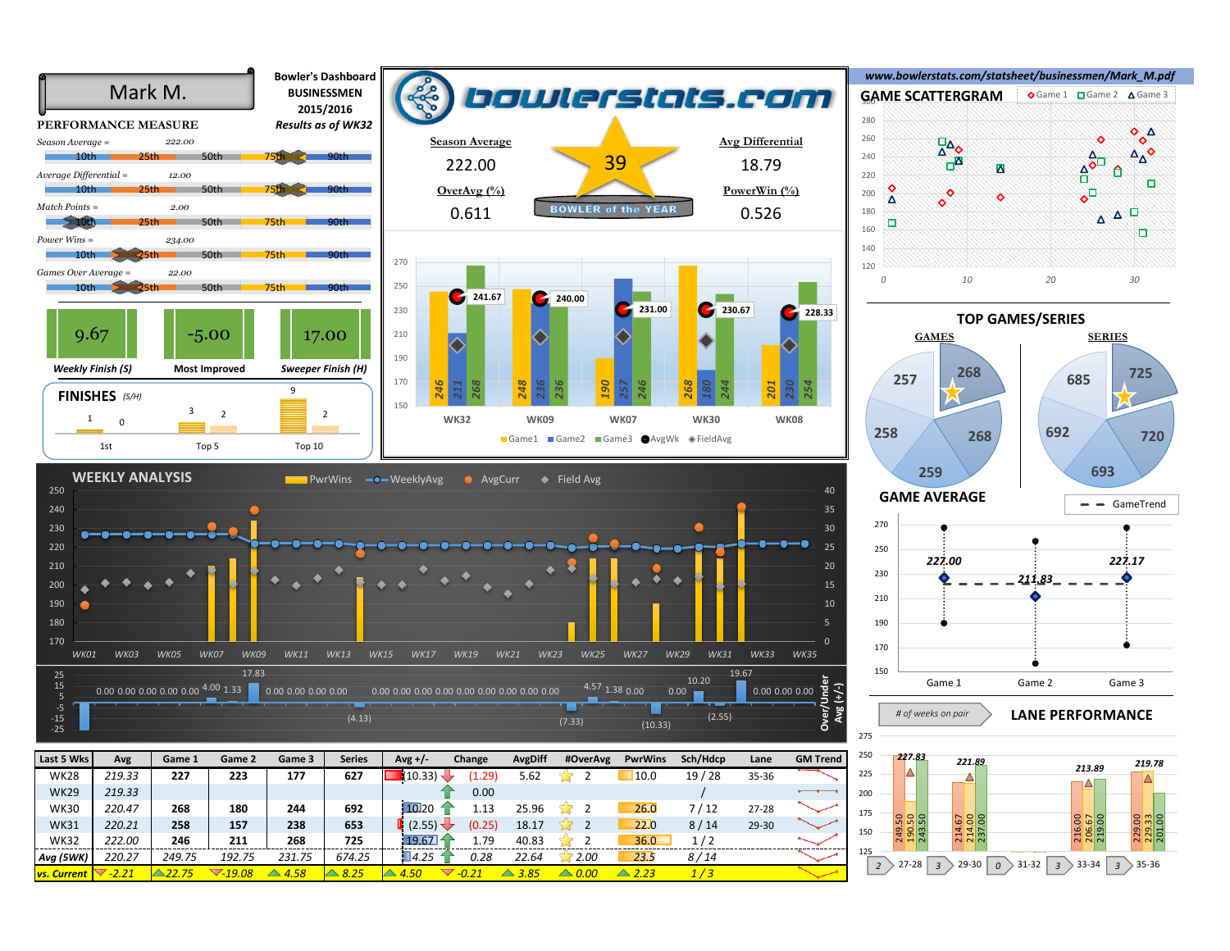



*227.83 221.89 213.89 219.78*  225 ٦Λ 200 175 249.50 190.50 243.50 214.67 214.00 237.00 216.00 206.67 219.00 229.00 229.33 201.00 150 125 2  $>$  27-28  $\mid$  3  $>$  29-30  $\mid$   $\mid$   $\mid$   $>$  31-32  $\mid$  3  $>$  33-34  $\mid$  3  $>$  35-36